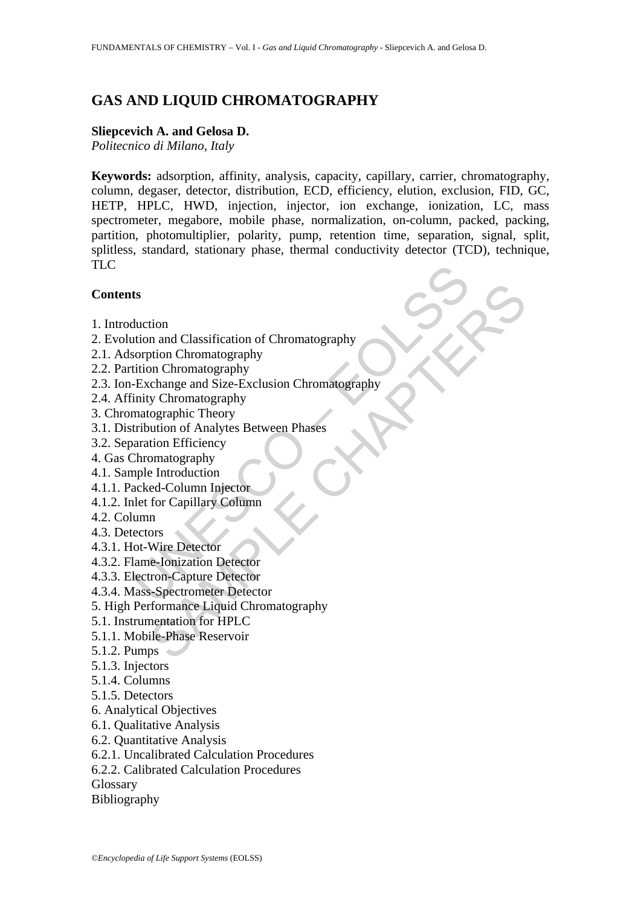# **GAS AND LIQUID CHROMATOGRAPHY**

#### **Sliepcevich A. and Gelosa D.**

*Politecnico di Milano, Italy* 

**Keywords:** adsorption, affinity, analysis, capacity, capillary, carrier, chromatography, column, degaser, detector, distribution, ECD, efficiency, elution, exclusion, FID, GC, HETP, HPLC, HWD, injection, injector, ion exchange, ionization, LC, mass spectrometer, megabore, mobile phase, normalization, on-column, packed, packing, partition, photomultiplier, polarity, pump, retention time, separation, signal, split, splitless, standard, stationary phase, thermal conductivity detector (TCD), technique, TLC

## **Contents**

- 1. Introduction
- 2. Evolution and Classification of Chromatography
- 2.1. Adsorption Chromatography
- 2.2. Partition Chromatography
- ts<br>
duction<br>
duction<br>
duction<br>
comption Chromatography<br>
exchange and Size-Exclusion Chromatography<br>
inity Chromatography<br>
inity Chromatography<br>
inity Chromatography<br>
matographic Theory<br>
tribution of Analytes Between Phases tion<br>
in and Classification of Chromatography<br>
who Chromatography<br>
on Chromatography<br>
or Chromatography<br>
y Chromatography<br>
y Chromatography<br>
orgaraphic Theory<br>
orgaraphic Theory<br>
intersection Phases<br>
to Chromatography<br>
ent 2.3. Ion-Exchange and Size-Exclusion Chromatography
- 2.4. Affinity Chromatography
- 3. Chromatographic Theory
- 3.1. Distribution of Analytes Between Phases
- 3.2. Separation Efficiency
- 4. Gas Chromatography
- 4.1. Sample Introduction
- 4.1.1. Packed-Column Injector
- 4.1.2. Inlet for Capillary Column
- 4.2. Column
- 4.3. Detectors
- 4.3.1. Hot-Wire Detector
- 4.3.2. Flame-Ionization Detector
- 4.3.3. Electron-Capture Detector
- 4.3.4. Mass-Spectrometer Detector
- 5. High Performance Liquid Chromatography
- 5.1. Instrumentation for HPLC
- 5.1.1. Mobile-Phase Reservoir
- 5.1.2. Pumps
- 5.1.3. Injectors
- 5.1.4. Columns
- 5.1.5. Detectors
- 6. Analytical Objectives
- 6.1. Qualitative Analysis
- 6.2. Quantitative Analysis
- 6.2.1. Uncalibrated Calculation Procedures
- 6.2.2. Calibrated Calculation Procedures

Glossary

Bibliography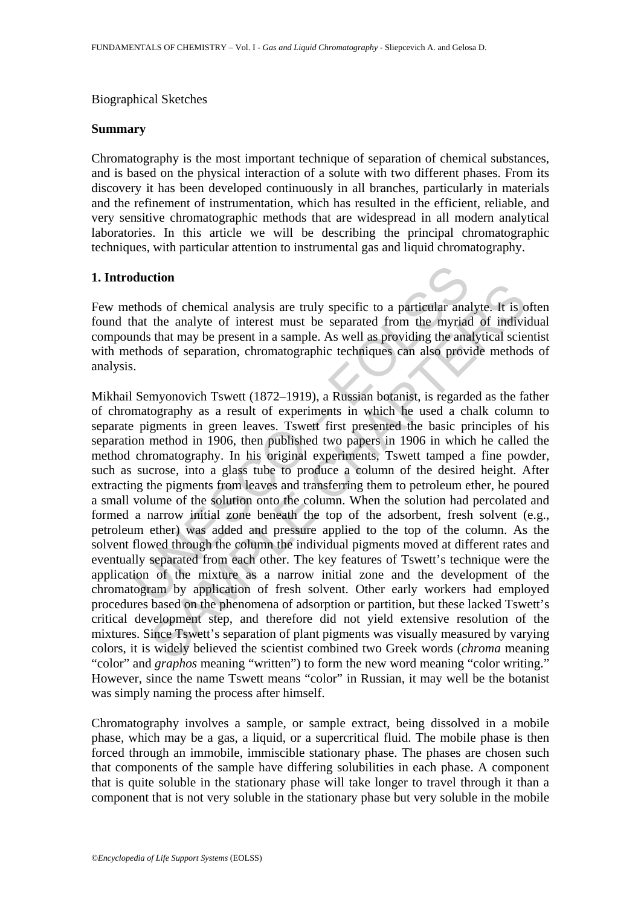#### Biographical Sketches

#### **Summary**

Chromatography is the most important technique of separation of chemical substances, and is based on the physical interaction of a solute with two different phases. From its discovery it has been developed continuously in all branches, particularly in materials and the refinement of instrumentation, which has resulted in the efficient, reliable, and very sensitive chromatographic methods that are widespread in all modern analytical laboratories. In this article we will be describing the principal chromatographic techniques, with particular attention to instrumental gas and liquid chromatography.

#### **1. Introduction**

Few methods of chemical analysis are truly specific to a particular analyte. It is often found that the analyte of interest must be separated from the myriad of individual compounds that may be present in a sample. As well as providing the analytical scientist with methods of separation, chromatographic techniques can also provide methods of analysis.

**duction**<br>**duction**<br>**duction**<br>**duction**<br>**duction**<br>**duction**<br>**duction**<br>**duction**<br>**duction**<br>**duction**<br>**duction**<br>**duction**<br>**duction**<br>**duction**<br>**duction**<br>**duction**<br>**duction**<br>**duction**<br>**duction**<br>**duction**<br>**duction**<br>**duction**<br>**d** The sample of chemical analysis are truly specific to a particular analyte. It is of the analyte of interest must be separated from the myriad of indivisity that may be present in a sample. As well as providing the analyt Mikhail Semyonovich Tswett (1872–1919), a Russian botanist, is regarded as the father of chromatography as a result of experiments in which he used a chalk column to separate pigments in green leaves. Tswett first presented the basic principles of his separation method in 1906, then published two papers in 1906 in which he called the method chromatography. In his original experiments, Tswett tamped a fine powder, such as sucrose, into a glass tube to produce a column of the desired height. After extracting the pigments from leaves and transferring them to petroleum ether, he poured a small volume of the solution onto the column. When the solution had percolated and formed a narrow initial zone beneath the top of the adsorbent, fresh solvent (e.g., petroleum ether) was added and pressure applied to the top of the column. As the solvent flowed through the column the individual pigments moved at different rates and eventually separated from each other. The key features of Tswett's technique were the application of the mixture as a narrow initial zone and the development of the chromatogram by application of fresh solvent. Other early workers had employed procedures based on the phenomena of adsorption or partition, but these lacked Tswett's critical development step, and therefore did not yield extensive resolution of the mixtures. Since Tswett's separation of plant pigments was visually measured by varying colors, it is widely believed the scientist combined two Greek words (*chroma* meaning "color" and *graphos* meaning "written") to form the new word meaning "color writing." However, since the name Tswett means "color" in Russian, it may well be the botanist was simply naming the process after himself.

Chromatography involves a sample, or sample extract, being dissolved in a mobile phase, which may be a gas, a liquid, or a supercritical fluid. The mobile phase is then forced through an immobile, immiscible stationary phase. The phases are chosen such that components of the sample have differing solubilities in each phase. A component that is quite soluble in the stationary phase will take longer to travel through it than a component that is not very soluble in the stationary phase but very soluble in the mobile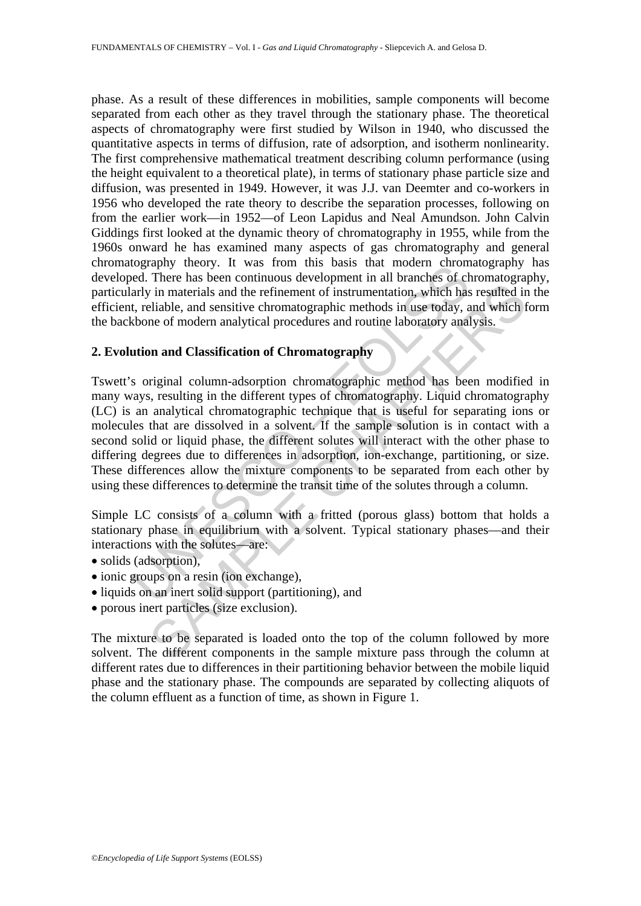phase. As a result of these differences in mobilities, sample components will become separated from each other as they travel through the stationary phase. The theoretical aspects of chromatography were first studied by Wilson in 1940, who discussed the quantitative aspects in terms of diffusion, rate of adsorption, and isotherm nonlinearity. The first comprehensive mathematical treatment describing column performance (using the height equivalent to a theoretical plate), in terms of stationary phase particle size and diffusion, was presented in 1949. However, it was J.J. van Deemter and co-workers in 1956 who developed the rate theory to describe the separation processes, following on from the earlier work—in 1952—of Leon Lapidus and Neal Amundson. John Calvin Giddings first looked at the dynamic theory of chromatography in 1955, while from the 1960s onward he has examined many aspects of gas chromatography and general chromatography theory. It was from this basis that modern chromatography has developed. There has been continuous development in all branches of chromatography, particularly in materials and the refinement of instrumentation, which has resulted in the efficient, reliable, and sensitive chromatographic methods in use today, and which form the backbone of modern analytical procedures and routine laboratory analysis.

## **2. Evolution and Classification of Chromatography**

by the twas Fiontinus bassis that modern incomended. There has been continuous development in all branches of charly in materials and the refinement of instrumentation, which has the t, reliable, and sensitive chromatograp is in materials and the refinement of instrumentation, which has resulted in in materials and the refinement of instrumentation, which has resulted ir liable, and sensitive chromatographic methods in use today, and which t Tswett's original column-adsorption chromatographic method has been modified in many ways, resulting in the different types of chromatography. Liquid chromatography (LC) is an analytical chromatographic technique that is useful for separating ions or molecules that are dissolved in a solvent. If the sample solution is in contact with a second solid or liquid phase, the different solutes will interact with the other phase to differing degrees due to differences in adsorption, ion-exchange, partitioning, or size. These differences allow the mixture components to be separated from each other by using these differences to determine the transit time of the solutes through a column.

Simple LC consists of a column with a fritted (porous glass) bottom that holds a stationary phase in equilibrium with a solvent. Typical stationary phases—and their interactions with the solutes—are:

- solids (adsorption),
- ionic groups on a resin (ion exchange),
- liquids on an inert solid support (partitioning), and
- porous inert particles (size exclusion).

The mixture to be separated is loaded onto the top of the column followed by more solvent. The different components in the sample mixture pass through the column at different rates due to differences in their partitioning behavior between the mobile liquid phase and the stationary phase. The compounds are separated by collecting aliquots of the column effluent as a function of time, as shown in Figure 1.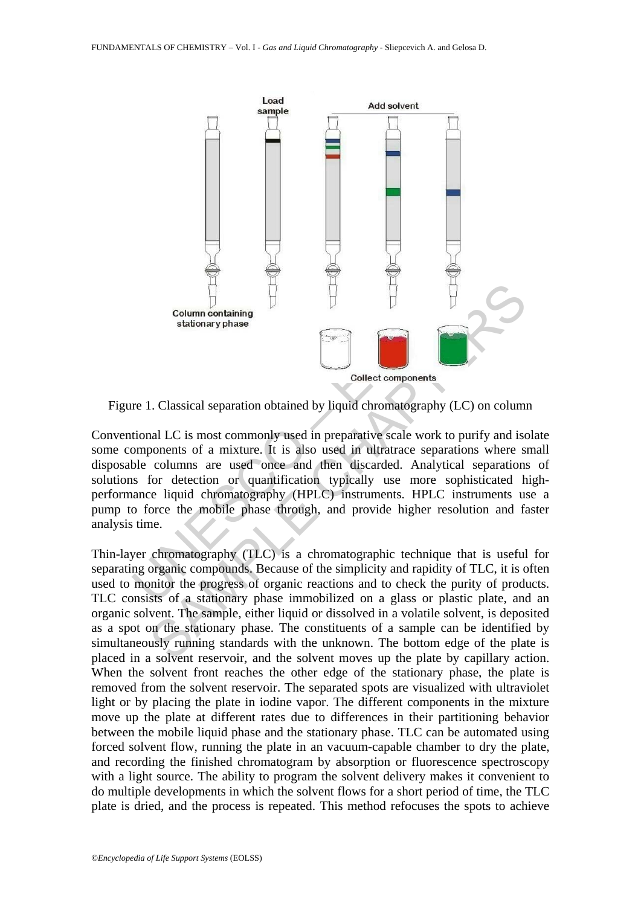

Figure 1. Classical separation obtained by liquid chromatography (LC) on column

Conventional LC is most commonly used in preparative scale work to purify and isolate some components of a mixture. It is also used in ultratrace separations where small disposable columns are used once and then discarded. Analytical separations of solutions for detection or quantification typically use more sophisticated highperformance liquid chromatography (HPLC) instruments. HPLC instruments use a pump to force the mobile phase through, and provide higher resolution and faster analysis time.

Thin-layer chromatography (TLC) is a chromatographic technique that is useful for separating organic compounds. Because of the simplicity and rapidity of TLC, it is often used to monitor the progress of organic reactions and to check the purity of products. TLC consists of a stationary phase immobilized on a glass or plastic plate, and an organic solvent. The sample, either liquid or dissolved in a volatile solvent, is deposited as a spot on the stationary phase. The constituents of a sample can be identified by simultaneously running standards with the unknown. The bottom edge of the plate is placed in a solvent reservoir, and the solvent moves up the plate by capillary action. When the solvent front reaches the other edge of the stationary phase, the plate is removed from the solvent reservoir. The separated spots are visualized with ultraviolet light or by placing the plate in iodine vapor. The different components in the mixture move up the plate at different rates due to differences in their partitioning behavior between the mobile liquid phase and the stationary phase. TLC can be automated using forced solvent flow, running the plate in an vacuum-capable chamber to dry the plate, and recording the finished chromatogram by absorption or fluorescence spectroscopy with a light source. The ability to program the solvent delivery makes it convenient to do multiple developments in which the solvent flows for a short period of time, the TLC plate is dried, and the process is repeated. This method refocuses the spots to achieve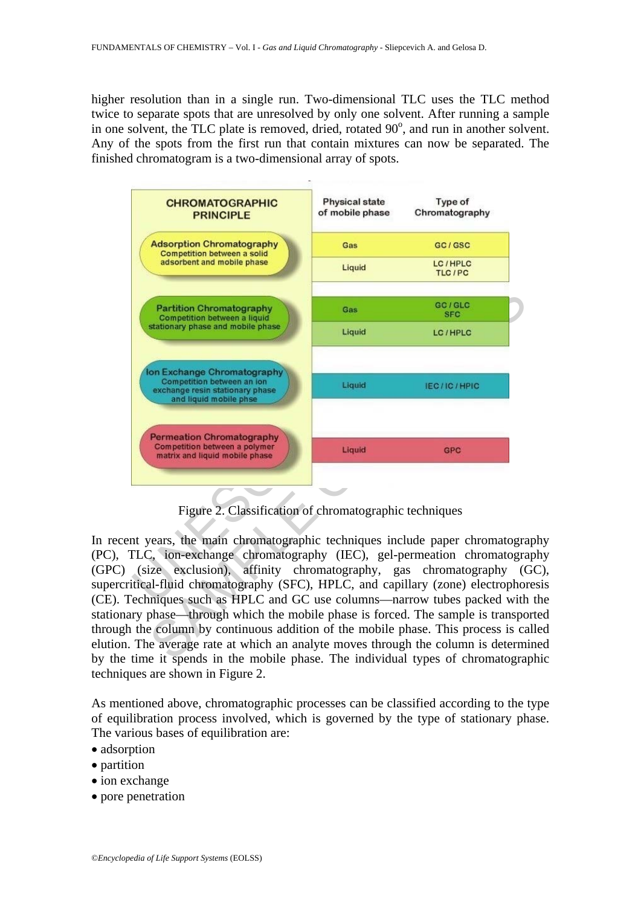higher resolution than in a single run. Two-dimensional TLC uses the TLC method twice to separate spots that are unresolved by only one solvent. After running a sample in one solvent, the TLC plate is removed, dried, rotated  $90^\circ$ , and run in another solvent. Any of the spots from the first run that contain mixtures can now be separated. The finished chromatogram is a two-dimensional array of spots.



Figure 2. Classification of chromatographic techniques

In recent years, the main chromatographic techniques include paper chromatography (PC), TLC, ion-exchange chromatography (IEC), gel-permeation chromatography (GPC) (size exclusion), affinity chromatography, gas chromatography (GC), supercritical-fluid chromatography (SFC), HPLC, and capillary (zone) electrophoresis (CE). Techniques such as HPLC and GC use columns—narrow tubes packed with the stationary phase—through which the mobile phase is forced. The sample is transported through the column by continuous addition of the mobile phase. This process is called elution. The average rate at which an analyte moves through the column is determined by the time it spends in the mobile phase. The individual types of chromatographic techniques are shown in Figure 2.

As mentioned above, chromatographic processes can be classified according to the type of equilibration process involved, which is governed by the type of stationary phase. The various bases of equilibration are:

- adsorption
- partition
- ion exchange
- pore penetration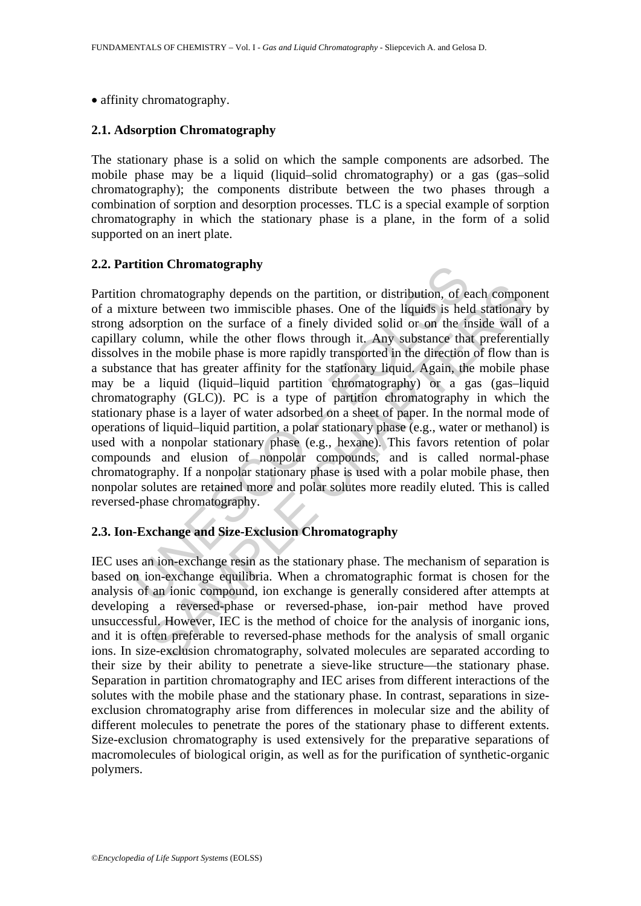• affinity chromatography.

#### **2.1. Adsorption Chromatography**

The stationary phase is a solid on which the sample components are adsorbed. The mobile phase may be a liquid (liquid–solid chromatography) or a gas (gas–solid chromatography); the components distribute between the two phases through a combination of sorption and desorption processes. TLC is a special example of sorption chromatography in which the stationary phase is a plane, in the form of a solid supported on an inert plate.

#### **2.2. Partition Chromatography**

The paramole of the particular of the neutrinon Chromatography<br>
n chromatography depends on the partition, or distribution, of exture between two immiscible phases. One of the liquids is heled<br>
not the virtue of a finely d hromatography depends on the partition, or distribution, of each compo<br>re between two immiscible phases. One of the liquids is held stationary<br>rotion on the surface of a finely divided solid or on the finisde wall<br>olumn, w Partition chromatography depends on the partition, or distribution, of each component of a mixture between two immiscible phases. One of the liquids is held stationary by strong adsorption on the surface of a finely divided solid or on the inside wall of a capillary column, while the other flows through it. Any substance that preferentially dissolves in the mobile phase is more rapidly transported in the direction of flow than is a substance that has greater affinity for the stationary liquid. Again, the mobile phase may be a liquid (liquid–liquid partition chromatography) or a gas (gas–liquid chromatography (GLC)). PC is a type of partition chromatography in which the stationary phase is a layer of water adsorbed on a sheet of paper. In the normal mode of operations of liquid–liquid partition, a polar stationary phase (e.g., water or methanol) is used with a nonpolar stationary phase (e.g., hexane). This favors retention of polar compounds and elusion of nonpolar compounds, and is called normal-phase chromatography. If a nonpolar stationary phase is used with a polar mobile phase, then nonpolar solutes are retained more and polar solutes more readily eluted. This is called reversed-phase chromatography.

#### **2.3. Ion-Exchange and Size-Exclusion Chromatography**

IEC uses an ion-exchange resin as the stationary phase. The mechanism of separation is based on ion-exchange equilibria. When a chromatographic format is chosen for the analysis of an ionic compound, ion exchange is generally considered after attempts at developing a reversed-phase or reversed-phase, ion-pair method have proved unsuccessful. However, IEC is the method of choice for the analysis of inorganic ions, and it is often preferable to reversed-phase methods for the analysis of small organic ions. In size-exclusion chromatography, solvated molecules are separated according to their size by their ability to penetrate a sieve-like structure—the stationary phase. Separation in partition chromatography and IEC arises from different interactions of the solutes with the mobile phase and the stationary phase. In contrast, separations in sizeexclusion chromatography arise from differences in molecular size and the ability of different molecules to penetrate the pores of the stationary phase to different extents. Size-exclusion chromatography is used extensively for the preparative separations of macromolecules of biological origin, as well as for the purification of synthetic-organic polymers.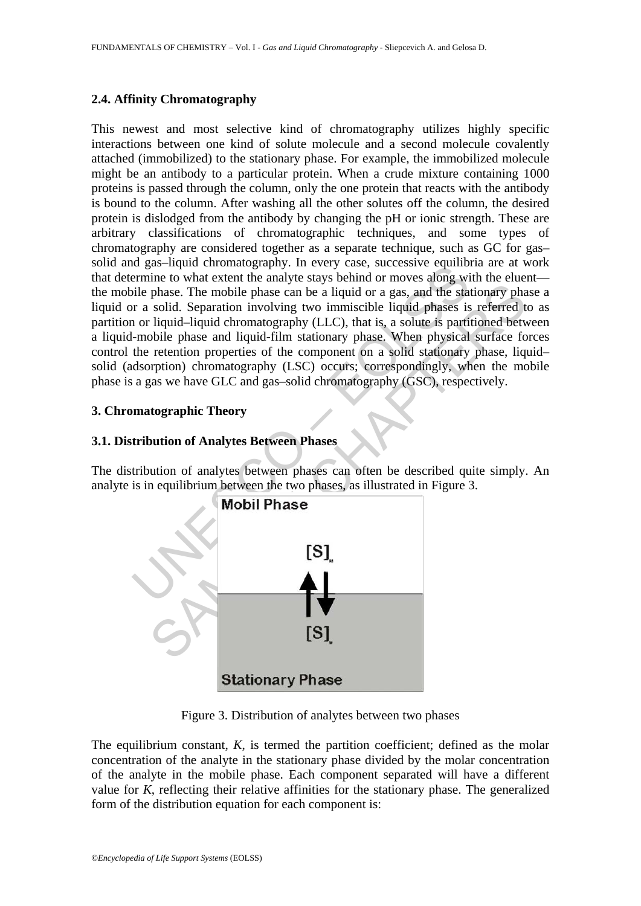#### **2.4. Affinity Chromatography**

is advertised containing that the analytic stays behind or moves along with<br>the minime to what extent the analyte stays behind or moves along with<br>pile phase. The mobile phase can be a liquid or a gas, and the state<br>of a s This newest and most selective kind of chromatography utilizes highly specific interactions between one kind of solute molecule and a second molecule covalently attached (immobilized) to the stationary phase. For example, the immobilized molecule might be an antibody to a particular protein. When a crude mixture containing 1000 proteins is passed through the column, only the one protein that reacts with the antibody is bound to the column. After washing all the other solutes off the column, the desired protein is dislodged from the antibody by changing the pH or ionic strength. These are arbitrary classifications of chromatographic techniques, and some types of chromatography are considered together as a separate technique, such as GC for gas– solid and gas–liquid chromatography. In every case, successive equilibria are at work that determine to what extent the analyte stays behind or moves along with the eluent the mobile phase. The mobile phase can be a liquid or a gas, and the stationary phase a liquid or a solid. Separation involving two immiscible liquid phases is referred to as partition or liquid–liquid chromatography (LLC), that is, a solute is partitioned between a liquid-mobile phase and liquid-film stationary phase. When physical surface forces control the retention properties of the component on a solid stationary phase, liquid– solid (adsorption) chromatography (LSC) occurs; correspondingly, when the mobile phase is a gas we have GLC and gas–solid chromatography (GSC), respectively.

#### **3. Chromatographic Theory**

### **3.1. Distribution of Analytes Between Phases**

The distribution of analytes between phases can often be described quite simply. An analyte is in equilibrium between the two phases, as illustrated in Figure 3.



Figure 3. Distribution of analytes between two phases

The equilibrium constant, *K*, is termed the partition coefficient; defined as the molar concentration of the analyte in the stationary phase divided by the molar concentration of the analyte in the mobile phase. Each component separated will have a different value for *K*, reflecting their relative affinities for the stationary phase. The generalized form of the distribution equation for each component is: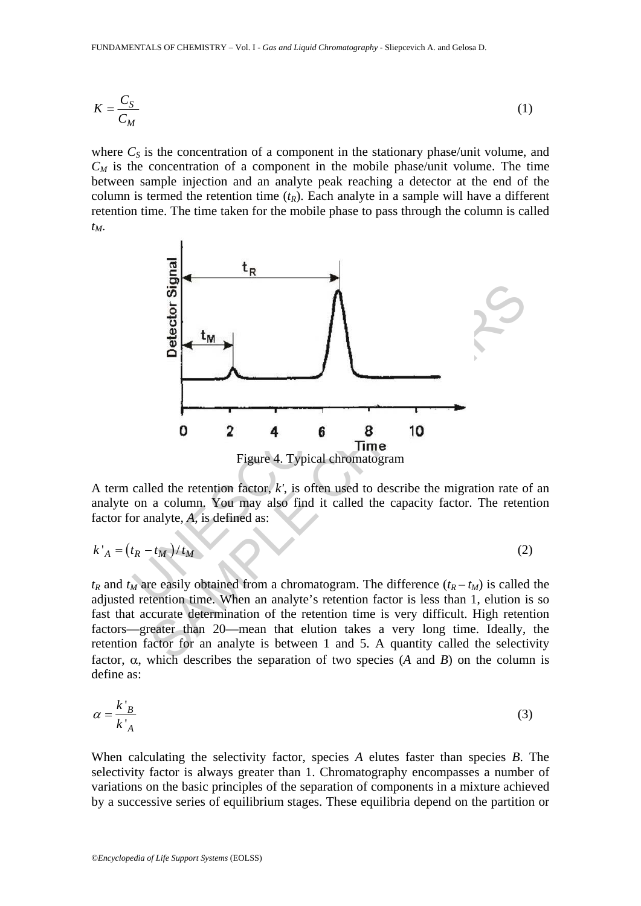$$
K = \frac{C_S}{C_M} \tag{1}
$$

where  $C_S$  is the concentration of a component in the stationary phase/unit volume, and  $C_M$  is the concentration of a component in the mobile phase/unit volume. The time between sample injection and an analyte peak reaching a detector at the end of the column is termed the retention time  $(t_R)$ . Each analyte in a sample will have a different retention time. The time taken for the mobile phase to pass through the column is called *tM*.



A term called the retention factor, *k'*, is often used to describe the migration rate of an analyte on a column. You may also find it called the capacity factor. The retention factor for analyte, *A*, is defined as:

$$
k'_{A} = (t_R - t_M)/t_M
$$
 (2)

 $t_R$  and  $t_M$  are easily obtained from a chromatogram. The difference  $(t_R - t_M)$  is called the adjusted retention time. When an analyte's retention factor is less than 1, elution is so fast that accurate determination of the retention time is very difficult. High retention factors—greater than 20—mean that elution takes a very long time. Ideally, the retention factor for an analyte is between 1 and 5. A quantity called the selectivity factor, α, which describes the separation of two species (*A* and *B*) on the column is define as:

$$
\alpha = \frac{k'_{B}}{k'_{A}}
$$
 (3)

When calculating the selectivity factor, species *A* elutes faster than species *B*. The selectivity factor is always greater than 1. Chromatography encompasses a number of variations on the basic principles of the separation of components in a mixture achieved by a successive series of equilibrium stages. These equilibria depend on the partition or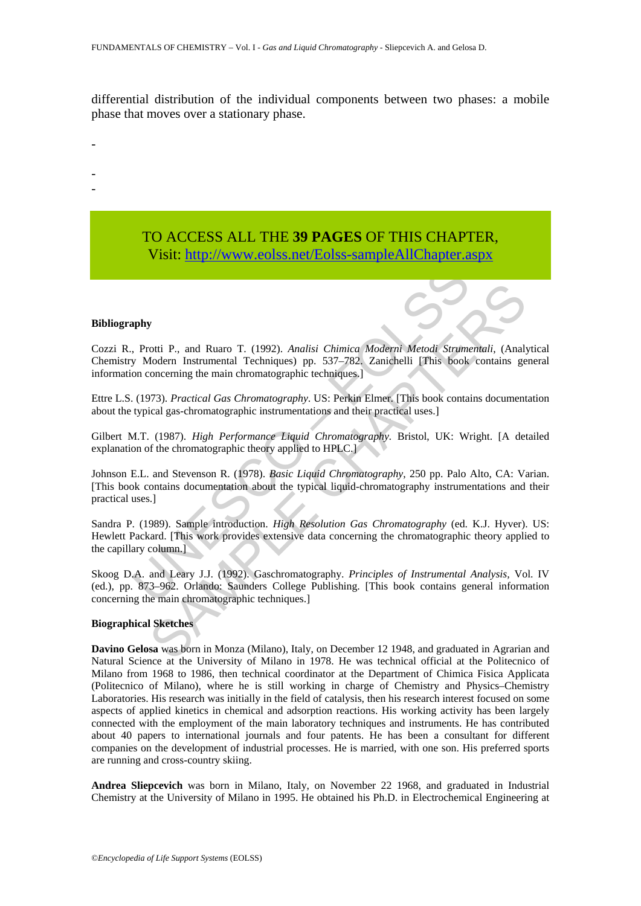differential distribution of the individual components between two phases: a mobile phase that moves over a stationary phase.

# TO ACCESS ALL THE **39 PAGES** OF THIS CHAPTER, Visit: http://www.eolss.net/Eolss-sampleAllChapter.aspx

#### **Bibliography**

-

- -

Cozzi R., Protti P., and Ruaro T. (1992). *Analisi Chimica Moderni Metodi Strumentali*, (Analytical Chemistry Modern Instrumental Techniques) pp. 537–782. Zanichelli [This book contains general information concerning the main chromatographic techniques.]

Ettre L.S. (1973). *Practical Gas Chromatography*. US: Perkin Elmer. [This book contains documentation about the typical gas-chromatographic instrumentations and their practical uses.]

Gilbert M.T. (1987). *High Performance Liquid Chromatography.* Bristol, UK: Wright. [A detailed explanation of the chromatographic theory applied to HPLC.]

Johnson E.L. and Stevenson R. (1978). *Basic Liquid Chromatography*, 250 pp. Palo Alto, CA: Varian. [This book contains documentation about the typical liquid-chromatography instrumentations and their practical uses.]

UNESCO – EOLS[S](https://www.eolss.net/ebooklib/sc_cart.aspx?File=E6-11-02-02) **SAMPLE CONTROLLET CONSULTERED**<br>
Solidarn Instrumental Techniques) pp. 537–782. Zamichelli (This book contains genomeraning the main chromatographic techniques.]<br>
Decoration Instrumental Techniques (Sample This book contai Sandra P. (1989). Sample introduction. *High Resolution Gas Chromatography* (ed. K.J. Hyver). US: Hewlett Packard. [This work provides extensive data concerning the chromatographic theory applied to the capillary column.]

Skoog D.A. and Leary J.J. (1992). Gaschromatography. *Principles of Instrumental Analysis,* Vol. IV (ed.), pp. 873–962. Orlando: Saunders College Publishing. [This book contains general information concerning the main chromatographic techniques.]

#### **Biographical Sketches**

**Davino Gelosa** was born in Monza (Milano), Italy, on December 12 1948, and graduated in Agrarian and Natural Science at the University of Milano in 1978. He was technical official at the Politecnico of Milano from 1968 to 1986, then technical coordinator at the Department of Chimica Fisica Applicata (Politecnico of Milano), where he is still working in charge of Chemistry and Physics–Chemistry Laboratories. His research was initially in the field of catalysis, then his research interest focused on some aspects of applied kinetics in chemical and adsorption reactions. His working activity has been largely connected with the employment of the main laboratory techniques and instruments. He has contributed about 40 papers to international journals and four patents. He has been a consultant for different companies on the development of industrial processes. He is married, with one son. His preferred sports are running and cross-country skiing.

**Andrea Sliepcevich** was born in Milano, Italy, on November 22 1968, and graduated in Industrial Chemistry at the University of Milano in 1995. He obtained his Ph.D. in Electrochemical Engineering at